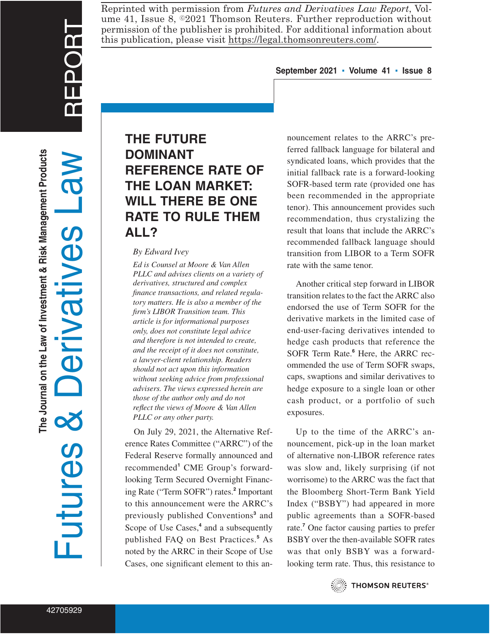REPORT

Reprinted with permission from *Futures and Derivatives Law Report*, Volume 41, Issue 8,  $\circ$ 2021 Thomson Reuters. Further reproduction without permission of the publisher is prohibited. For additional information about this publication, please visit https://legal.thomsonreuters.com/.

#### **September 2021 ▪ Volume 41 ▪ Issue 8**

# **THE FUTURE DOMINANT REFERENCE RATE OF THE LOAN MARKET: WILL THERE BE ONE RATE TO RULE THEM ALL?**

#### *By Edward Ivey*

*Ed is Counsel at Moore & Van Allen PLLC and advises clients on a variety of derivatives, structured and complex finance transactions, and related regulatory matters. He is also a member of the firm's LIBOR Transition team. This article is for informational purposes only, does not constitute legal advice and therefore is not intended to create, and the receipt of it does not constitute, a lawyer-client relationship. Readers should not act upon this information without seeking advice from professional advisers. The views expressed herein are those of the author only and do not reflect the views of Moore & Van Allen PLLC or any other party.*

On July 29, 2021, the Alternative Reference Rates Committee ("ARRC") of the Federal Reserve formally announced and recommended**<sup>1</sup>** CME Group's forwardlooking Term Secured Overnight Financing Rate ("Term SOFR") rates.**<sup>2</sup>** Important to this announcement were the ARRC's previously published Conventions**<sup>3</sup>** and Scope of Use Cases,**<sup>4</sup>** and a subsequently published FAQ on Best Practices.**<sup>5</sup>** As noted by the ARRC in their Scope of Use Cases, one significant element to this an-

nouncement relates to the ARRC's preferred fallback language for bilateral and syndicated loans, which provides that the initial fallback rate is a forward-looking SOFR-based term rate (provided one has been recommended in the appropriate tenor). This announcement provides such recommendation, thus crystalizing the result that loans that include the ARRC's recommended fallback language should transition from LIBOR to a Term SOFR rate with the same tenor.

Another critical step forward in LIBOR transition relates to the fact the ARRC also endorsed the use of Term SOFR for the derivative markets in the limited case of end-user-facing derivatives intended to hedge cash products that reference the SOFR Term Rate.**<sup>6</sup>** Here, the ARRC recommended the use of Term SOFR swaps, caps, swaptions and similar derivatives to hedge exposure to a single loan or other cash product, or a portfolio of such exposures.

Up to the time of the ARRC's announcement, pick-up in the loan market of alternative non-LIBOR reference rates was slow and, likely surprising (if not worrisome) to the ARRC was the fact that the Bloomberg Short-Term Bank Yield Index ("BSBY") had appeared in more public agreements than a SOFR-based rate.**<sup>7</sup>** One factor causing parties to prefer BSBY over the then-available SOFR rates was that only BSBY was a forwardlooking term rate. Thus, this resistance to



**THOMSON REUTERS®**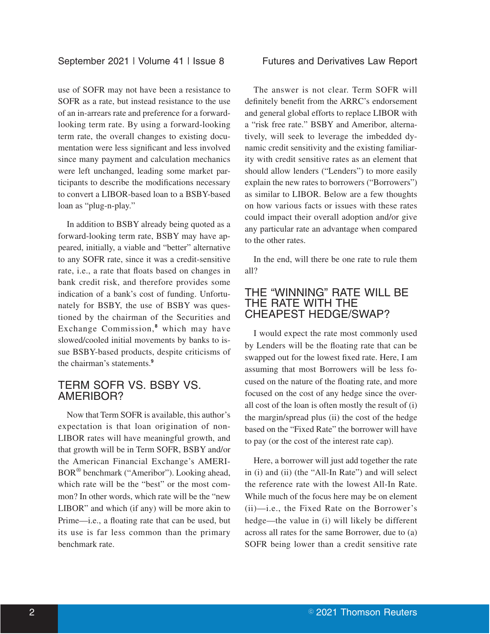use of SOFR may not have been a resistance to SOFR as a rate, but instead resistance to the use of an in-arrears rate and preference for a forwardlooking term rate. By using a forward-looking term rate, the overall changes to existing documentation were less significant and less involved since many payment and calculation mechanics were left unchanged, leading some market participants to describe the modifications necessary to convert a LIBOR-based loan to a BSBY-based loan as "plug-n-play."

In addition to BSBY already being quoted as a forward-looking term rate, BSBY may have appeared, initially, a viable and "better" alternative to any SOFR rate, since it was a credit-sensitive rate, i.e., a rate that floats based on changes in bank credit risk, and therefore provides some indication of a bank's cost of funding. Unfortunately for BSBY, the use of BSBY was questioned by the chairman of the Securities and Exchange Commission,**<sup>8</sup>** which may have slowed/cooled initial movements by banks to issue BSBY-based products, despite criticisms of the chairman's statements.**<sup>9</sup>**

### TERM SOFR VS. BSBY VS. AMERIBOR?

Now that Term SOFR is available, this author's expectation is that loan origination of non-LIBOR rates will have meaningful growth, and that growth will be in Term SOFR, BSBY and/or the American Financial Exchange's AMERI-BOR® benchmark ("Ameribor"). Looking ahead, which rate will be the "best" or the most common? In other words, which rate will be the "new LIBOR" and which (if any) will be more akin to Prime—i.e., a floating rate that can be used, but its use is far less common than the primary benchmark rate.

The answer is not clear. Term SOFR will definitely benefit from the ARRC's endorsement and general global efforts to replace LIBOR with a "risk free rate." BSBY and Ameribor, alternatively, will seek to leverage the imbedded dynamic credit sensitivity and the existing familiarity with credit sensitive rates as an element that should allow lenders ("Lenders") to more easily explain the new rates to borrowers ("Borrowers") as similar to LIBOR. Below are a few thoughts on how various facts or issues with these rates could impact their overall adoption and/or give any particular rate an advantage when compared to the other rates.

In the end, will there be one rate to rule them all?

### THE "WINNING" RATE WILL BE THE RATE WITH THE CHEAPEST HEDGE/SWAP?

I would expect the rate most commonly used by Lenders will be the floating rate that can be swapped out for the lowest fixed rate. Here, I am assuming that most Borrowers will be less focused on the nature of the floating rate, and more focused on the cost of any hedge since the overall cost of the loan is often mostly the result of (i) the margin/spread plus (ii) the cost of the hedge based on the "Fixed Rate" the borrower will have to pay (or the cost of the interest rate cap).

Here, a borrower will just add together the rate in (i) and (ii) (the "All-In Rate") and will select the reference rate with the lowest All-In Rate. While much of the focus here may be on element (ii)—i.e., the Fixed Rate on the Borrower's hedge—the value in (i) will likely be different across all rates for the same Borrower, due to (a) SOFR being lower than a credit sensitive rate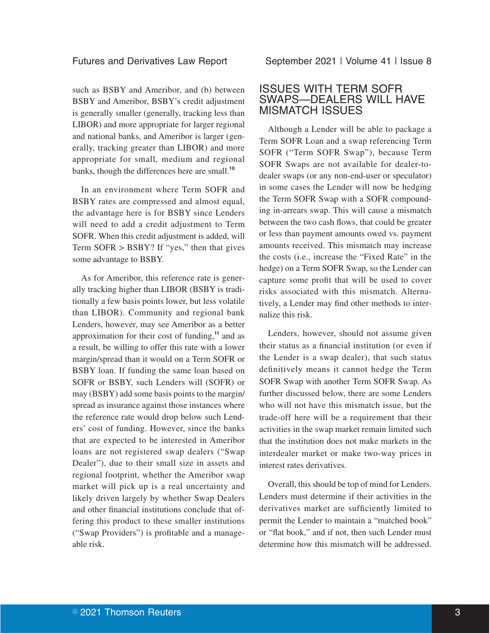such as BSBY and Ameribor, and (b) between BSBY and Ameribor, BSBY's credit adjustment is generally smaller (generally, tracking less than LIBOR) and more appropriate for larger regional and national banks, and Ameribor is larger (generally, tracking greater than LIBOR) and more appropriate for small, medium and regional banks, though the differences here are small.**<sup>10</sup>**

In an environment where Term SOFR and BSBY rates are compressed and almost equal, the advantage here is for BSBY since Lenders will need to add a credit adjustment to Term SOFR. When this credit adjustment is added, will Term SOFR > BSBY? If "yes," then that gives some advantage to BSBY.

As for Ameribor, this reference rate is generally tracking higher than LIBOR (BSBY is traditionally a few basis points lower, but less volatile than LIBOR). Community and regional bank Lenders, however, may see Ameribor as a better approximation for their cost of funding,**<sup>11</sup>** and as a result, be willing to offer this rate with a lower margin/spread than it would on a Term SOFR or BSBY loan. If funding the same loan based on SOFR or BSBY, such Lenders will (SOFR) or may (BSBY) add some basis points to the margin/ spread as insurance against those instances where the reference rate would drop below such Lenders' cost of funding. However, since the banks that are expected to be interested in Ameribor loans are not registered swap dealers ("Swap Dealer"), due to their small size in assets and regional footprint, whether the Ameribor swap market will pick up is a real uncertainty and likely driven largely by whether Swap Dealers and other financial institutions conclude that offering this product to these smaller institutions ("Swap Providers") is profitable and a manageable risk.

### ISSUES WITH TERM SOFR SWAPS—DEALERS WILL HAVE MISMATCH ISSUES

Although a Lender will be able to package a Term SOFR Loan and a swap referencing Term SOFR ("Term SOFR Swap"), because Term SOFR Swaps are not available for dealer-todealer swaps (or any non-end-user or speculator) in some cases the Lender will now be hedging the Term SOFR Swap with a SOFR compounding in-arrears swap. This will cause a mismatch between the two cash flows, that could be greater or less than payment amounts owed vs. payment amounts received. This mismatch may increase the costs (i.e., increase the "Fixed Rate" in the hedge) on a Term SOFR Swap, so the Lender can capture some profit that will be used to cover risks associated with this mismatch. Alternatively, a Lender may find other methods to internalize this risk.

Lenders, however, should not assume given their status as a financial institution (or even if the Lender is a swap dealer), that such status definitively means it cannot hedge the Term SOFR Swap with another Term SOFR Swap. As further discussed below, there are some Lenders who will not have this mismatch issue, but the trade-off here will be a requirement that their activities in the swap market remain limited such that the institution does not make markets in the interdealer market or make two-way prices in interest rates derivatives.

Overall, this should be top of mind for Lenders. Lenders must determine if their activities in the derivatives market are sufficiently limited to permit the Lender to maintain a "matched book" or "flat book," and if not, then such Lender must determine how this mismatch will be addressed.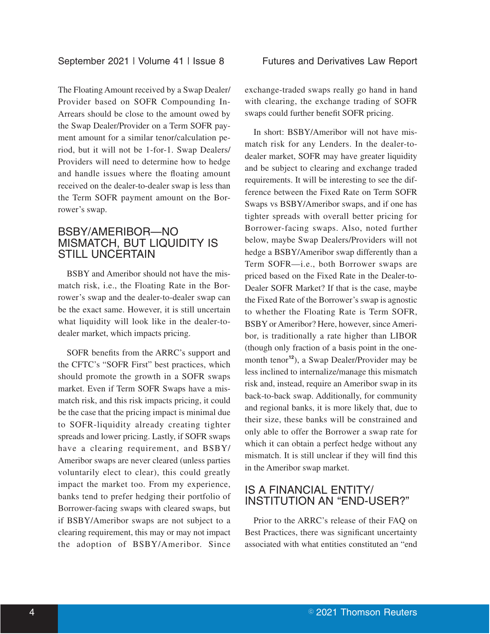The Floating Amount received by a Swap Dealer/ Provider based on SOFR Compounding In-Arrears should be close to the amount owed by the Swap Dealer/Provider on a Term SOFR payment amount for a similar tenor/calculation period, but it will not be 1-for-1. Swap Dealers/ Providers will need to determine how to hedge and handle issues where the floating amount received on the dealer-to-dealer swap is less than the Term SOFR payment amount on the Borrower's swap.

#### BSBY/AMERIBOR—NO MISMATCH, BUT LIQUIDITY IS STILL UNCERTAIN

BSBY and Ameribor should not have the mismatch risk, i.e., the Floating Rate in the Borrower's swap and the dealer-to-dealer swap can be the exact same. However, it is still uncertain what liquidity will look like in the dealer-todealer market, which impacts pricing.

SOFR benefits from the ARRC's support and the CFTC's "SOFR First" best practices, which should promote the growth in a SOFR swaps market. Even if Term SOFR Swaps have a mismatch risk, and this risk impacts pricing, it could be the case that the pricing impact is minimal due to SOFR-liquidity already creating tighter spreads and lower pricing. Lastly, if SOFR swaps have a clearing requirement, and BSBY/ Ameribor swaps are never cleared (unless parties voluntarily elect to clear), this could greatly impact the market too. From my experience, banks tend to prefer hedging their portfolio of Borrower-facing swaps with cleared swaps, but if BSBY/Ameribor swaps are not subject to a clearing requirement, this may or may not impact the adoption of BSBY/Ameribor. Since exchange-traded swaps really go hand in hand with clearing, the exchange trading of SOFR swaps could further benefit SOFR pricing.

In short: BSBY/Ameribor will not have mismatch risk for any Lenders. In the dealer-todealer market, SOFR may have greater liquidity and be subject to clearing and exchange traded requirements. It will be interesting to see the difference between the Fixed Rate on Term SOFR Swaps vs BSBY/Ameribor swaps, and if one has tighter spreads with overall better pricing for Borrower-facing swaps. Also, noted further below, maybe Swap Dealers/Providers will not hedge a BSBY/Ameribor swap differently than a Term SOFR—i.e., both Borrower swaps are priced based on the Fixed Rate in the Dealer-to-Dealer SOFR Market? If that is the case, maybe the Fixed Rate of the Borrower's swap is agnostic to whether the Floating Rate is Term SOFR, BSBY or Ameribor? Here, however, since Ameribor, is traditionally a rate higher than LIBOR (though only fraction of a basis point in the onemonth tenor**<sup>12</sup>**), a Swap Dealer/Provider may be less inclined to internalize/manage this mismatch risk and, instead, require an Ameribor swap in its back-to-back swap. Additionally, for community and regional banks, it is more likely that, due to their size, these banks will be constrained and only able to offer the Borrower a swap rate for which it can obtain a perfect hedge without any mismatch. It is still unclear if they will find this in the Ameribor swap market.

## IS A FINANCIAL ENTITY/ INSTITUTION AN "END-USER?"

Prior to the ARRC's release of their FAQ on Best Practices, there was significant uncertainty associated with what entities constituted an "end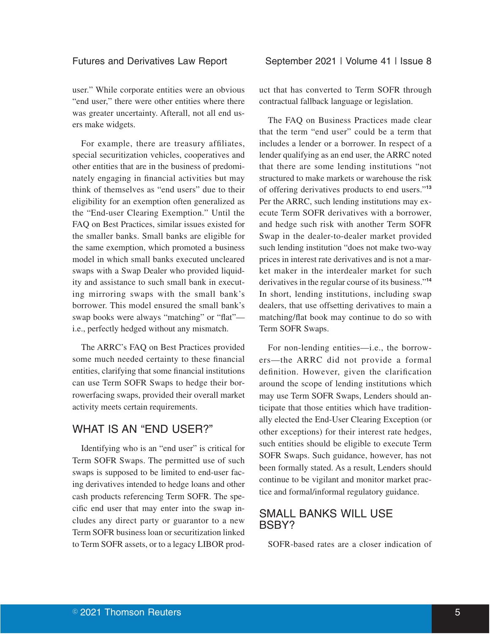user." While corporate entities were an obvious "end user," there were other entities where there was greater uncertainty. Afterall, not all end users make widgets.

For example, there are treasury affiliates, special securitization vehicles, cooperatives and other entities that are in the business of predominately engaging in financial activities but may think of themselves as "end users" due to their eligibility for an exemption often generalized as the "End-user Clearing Exemption." Until the FAQ on Best Practices, similar issues existed for the smaller banks. Small banks are eligible for the same exemption, which promoted a business model in which small banks executed uncleared swaps with a Swap Dealer who provided liquidity and assistance to such small bank in executing mirroring swaps with the small bank's borrower. This model ensured the small bank's swap books were always "matching" or "flat" i.e., perfectly hedged without any mismatch.

The ARRC's FAQ on Best Practices provided some much needed certainty to these financial entities, clarifying that some financial institutions can use Term SOFR Swaps to hedge their borrowerfacing swaps, provided their overall market activity meets certain requirements.

## WHAT IS AN "END USER?"

Identifying who is an "end user" is critical for Term SOFR Swaps. The permitted use of such swaps is supposed to be limited to end-user facing derivatives intended to hedge loans and other cash products referencing Term SOFR. The specific end user that may enter into the swap includes any direct party or guarantor to a new Term SOFR business loan or securitization linked to Term SOFR assets, or to a legacy LIBOR product that has converted to Term SOFR through contractual fallback language or legislation.

The FAQ on Business Practices made clear that the term "end user" could be a term that includes a lender or a borrower. In respect of a lender qualifying as an end user, the ARRC noted that there are some lending institutions "not structured to make markets or warehouse the risk of offering derivatives products to end users."**<sup>13</sup>** Per the ARRC, such lending institutions may execute Term SOFR derivatives with a borrower, and hedge such risk with another Term SOFR Swap in the dealer-to-dealer market provided such lending institution "does not make two-way prices in interest rate derivatives and is not a market maker in the interdealer market for such derivatives in the regular course of its business."**<sup>14</sup>** In short, lending institutions, including swap dealers, that use offsetting derivatives to main a matching/flat book may continue to do so with Term SOFR Swaps.

For non-lending entities—i.e., the borrowers—the ARRC did not provide a formal definition. However, given the clarification around the scope of lending institutions which may use Term SOFR Swaps, Lenders should anticipate that those entities which have traditionally elected the End-User Clearing Exception (or other exceptions) for their interest rate hedges, such entities should be eligible to execute Term SOFR Swaps. Such guidance, however, has not been formally stated. As a result, Lenders should continue to be vigilant and monitor market practice and formal/informal regulatory guidance.

## SMALL BANKS WILL USE BSBY?

SOFR-based rates are a closer indication of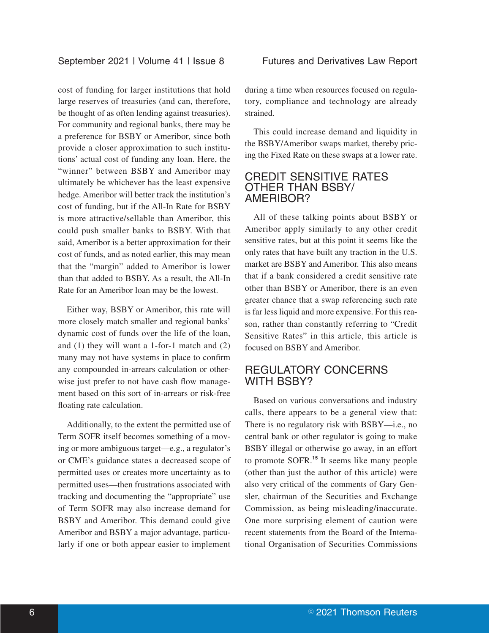cost of funding for larger institutions that hold large reserves of treasuries (and can, therefore, be thought of as often lending against treasuries). For community and regional banks, there may be a preference for BSBY or Ameribor, since both provide a closer approximation to such institutions' actual cost of funding any loan. Here, the "winner" between BSBY and Ameribor may ultimately be whichever has the least expensive hedge. Ameribor will better track the institution's cost of funding, but if the All-In Rate for BSBY is more attractive/sellable than Ameribor, this could push smaller banks to BSBY. With that said, Ameribor is a better approximation for their cost of funds, and as noted earlier, this may mean that the "margin" added to Ameribor is lower than that added to BSBY. As a result, the All-In Rate for an Ameribor loan may be the lowest.

Either way, BSBY or Ameribor, this rate will more closely match smaller and regional banks' dynamic cost of funds over the life of the loan, and (1) they will want a 1-for-1 match and (2) many may not have systems in place to confirm any compounded in-arrears calculation or otherwise just prefer to not have cash flow management based on this sort of in-arrears or risk-free floating rate calculation.

Additionally, to the extent the permitted use of Term SOFR itself becomes something of a moving or more ambiguous target—e.g., a regulator's or CME's guidance states a decreased scope of permitted uses or creates more uncertainty as to permitted uses—then frustrations associated with tracking and documenting the "appropriate" use of Term SOFR may also increase demand for BSBY and Ameribor. This demand could give Ameribor and BSBY a major advantage, particularly if one or both appear easier to implement

during a time when resources focused on regulatory, compliance and technology are already strained.

This could increase demand and liquidity in the BSBY/Ameribor swaps market, thereby pricing the Fixed Rate on these swaps at a lower rate.

#### CREDIT SENSITIVE RATES OTHER THAN BSBY/ AMERIBOR?

All of these talking points about BSBY or Ameribor apply similarly to any other credit sensitive rates, but at this point it seems like the only rates that have built any traction in the U.S. market are BSBY and Ameribor. This also means that if a bank considered a credit sensitive rate other than BSBY or Ameribor, there is an even greater chance that a swap referencing such rate is far less liquid and more expensive. For this reason, rather than constantly referring to "Credit Sensitive Rates" in this article, this article is focused on BSBY and Ameribor.

## REGULATORY CONCERNS WITH BSBY?

Based on various conversations and industry calls, there appears to be a general view that: There is no regulatory risk with BSBY—i.e., no central bank or other regulator is going to make BSBY illegal or otherwise go away, in an effort to promote SOFR.**<sup>15</sup>** It seems like many people (other than just the author of this article) were also very critical of the comments of Gary Gensler, chairman of the Securities and Exchange Commission, as being misleading/inaccurate. One more surprising element of caution were recent statements from the Board of the International Organisation of Securities Commissions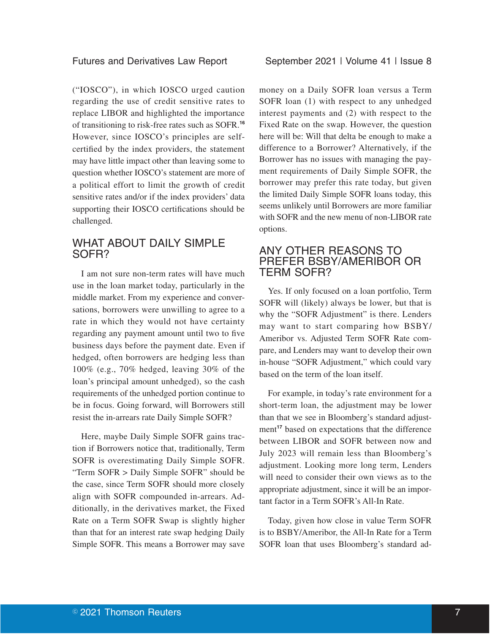#### Futures and Derivatives Law Report September 2021 | Volume 41 | Issue 8

("IOSCO"), in which IOSCO urged caution regarding the use of credit sensitive rates to replace LIBOR and highlighted the importance of transitioning to risk-free rates such as SOFR.**<sup>16</sup>** However, since IOSCO's principles are selfcertified by the index providers, the statement may have little impact other than leaving some to question whether IOSCO's statement are more of a political effort to limit the growth of credit sensitive rates and/or if the index providers' data supporting their IOSCO certifications should be challenged.

## WHAT ABOUT DAILY SIMPLE SOFR?

I am not sure non-term rates will have much use in the loan market today, particularly in the middle market. From my experience and conversations, borrowers were unwilling to agree to a rate in which they would not have certainty regarding any payment amount until two to five business days before the payment date. Even if hedged, often borrowers are hedging less than 100% (e.g., 70% hedged, leaving 30% of the loan's principal amount unhedged), so the cash requirements of the unhedged portion continue to be in focus. Going forward, will Borrowers still resist the in-arrears rate Daily Simple SOFR?

Here, maybe Daily Simple SOFR gains traction if Borrowers notice that, traditionally, Term SOFR is overestimating Daily Simple SOFR. "Term SOFR > Daily Simple SOFR" should be the case, since Term SOFR should more closely align with SOFR compounded in-arrears. Additionally, in the derivatives market, the Fixed Rate on a Term SOFR Swap is slightly higher than that for an interest rate swap hedging Daily Simple SOFR. This means a Borrower may save

money on a Daily SOFR loan versus a Term SOFR loan (1) with respect to any unhedged interest payments and (2) with respect to the Fixed Rate on the swap. However, the question here will be: Will that delta be enough to make a difference to a Borrower? Alternatively, if the Borrower has no issues with managing the payment requirements of Daily Simple SOFR, the borrower may prefer this rate today, but given the limited Daily Simple SOFR loans today, this seems unlikely until Borrowers are more familiar with SOFR and the new menu of non-LIBOR rate options.

### ANY OTHER REASONS TO PREFER BSBY/AMERIBOR OR TERM SOFR?

Yes. If only focused on a loan portfolio, Term SOFR will (likely) always be lower, but that is why the "SOFR Adjustment" is there. Lenders may want to start comparing how BSBY/ Ameribor vs. Adjusted Term SOFR Rate compare, and Lenders may want to develop their own in-house "SOFR Adjustment," which could vary based on the term of the loan itself.

For example, in today's rate environment for a short-term loan, the adjustment may be lower than that we see in Bloomberg's standard adjustment<sup>17</sup> based on expectations that the difference between LIBOR and SOFR between now and July 2023 will remain less than Bloomberg's adjustment. Looking more long term, Lenders will need to consider their own views as to the appropriate adjustment, since it will be an important factor in a Term SOFR's All-In Rate.

Today, given how close in value Term SOFR is to BSBY/Ameribor, the All-In Rate for a Term SOFR loan that uses Bloomberg's standard ad-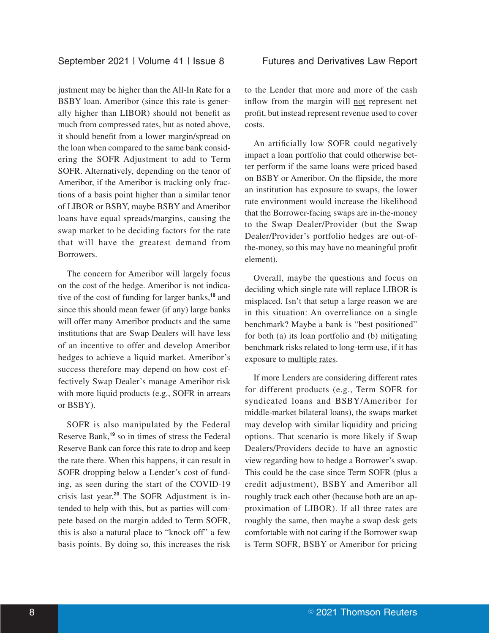justment may be higher than the All-In Rate for a BSBY loan. Ameribor (since this rate is generally higher than LIBOR) should not benefit as much from compressed rates, but as noted above, it should benefit from a lower margin/spread on the loan when compared to the same bank considering the SOFR Adjustment to add to Term SOFR. Alternatively, depending on the tenor of Ameribor, if the Ameribor is tracking only fractions of a basis point higher than a similar tenor of LIBOR or BSBY, maybe BSBY and Ameribor loans have equal spreads/margins, causing the swap market to be deciding factors for the rate that will have the greatest demand from Borrowers.

The concern for Ameribor will largely focus on the cost of the hedge. Ameribor is not indicative of the cost of funding for larger banks,**<sup>18</sup>** and since this should mean fewer (if any) large banks will offer many Ameribor products and the same institutions that are Swap Dealers will have less of an incentive to offer and develop Ameribor hedges to achieve a liquid market. Ameribor's success therefore may depend on how cost effectively Swap Dealer's manage Ameribor risk with more liquid products (e.g., SOFR in arrears or BSBY).

SOFR is also manipulated by the Federal Reserve Bank,**<sup>19</sup>** so in times of stress the Federal Reserve Bank can force this rate to drop and keep the rate there. When this happens, it can result in SOFR dropping below a Lender's cost of funding, as seen during the start of the COVID-19 crisis last year.**<sup>20</sup>** The SOFR Adjustment is intended to help with this, but as parties will compete based on the margin added to Term SOFR, this is also a natural place to "knock off" a few basis points. By doing so, this increases the risk

to the Lender that more and more of the cash inflow from the margin will not represent net profit, but instead represent revenue used to cover costs.

An artificially low SOFR could negatively impact a loan portfolio that could otherwise better perform if the same loans were priced based on BSBY or Ameribor. On the flipside, the more an institution has exposure to swaps, the lower rate environment would increase the likelihood that the Borrower-facing swaps are in-the-money to the Swap Dealer/Provider (but the Swap Dealer/Provider's portfolio hedges are out-ofthe-money, so this may have no meaningful profit element).

Overall, maybe the questions and focus on deciding which single rate will replace LIBOR is misplaced. Isn't that setup a large reason we are in this situation: An overreliance on a single benchmark? Maybe a bank is "best positioned" for both (a) its loan portfolio and (b) mitigating benchmark risks related to long-term use, if it has exposure to multiple rates.

If more Lenders are considering different rates for different products (e.g., Term SOFR for syndicated loans and BSBY/Ameribor for middle-market bilateral loans), the swaps market may develop with similar liquidity and pricing options. That scenario is more likely if Swap Dealers/Providers decide to have an agnostic view regarding how to hedge a Borrower's swap. This could be the case since Term SOFR (plus a credit adjustment), BSBY and Ameribor all roughly track each other (because both are an approximation of LIBOR). If all three rates are roughly the same, then maybe a swap desk gets comfortable with not caring if the Borrower swap is Term SOFR, BSBY or Ameribor for pricing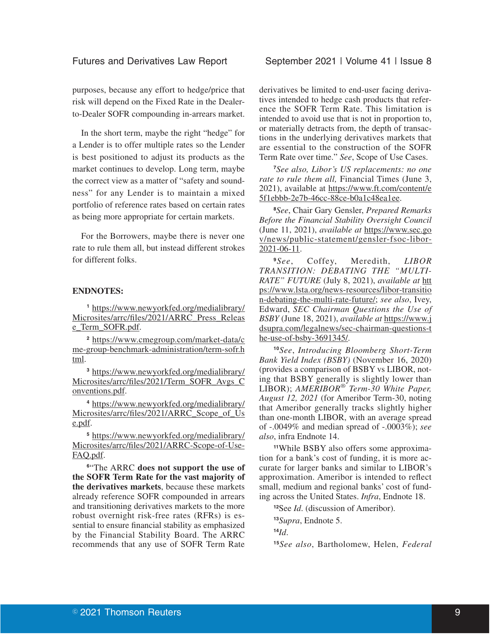purposes, because any effort to hedge/price that risk will depend on the Fixed Rate in the Dealerto-Dealer SOFR compounding in-arrears market.

In the short term, maybe the right "hedge" for a Lender is to offer multiple rates so the Lender is best positioned to adjust its products as the market continues to develop. Long term, maybe the correct view as a matter of "safety and soundness" for any Lender is to maintain a mixed portfolio of reference rates based on certain rates as being more appropriate for certain markets.

For the Borrowers, maybe there is never one rate to rule them all, but instead different strokes for different folks.

#### **ENDNOTES:**

**<sup>1</sup>** https://www.newyorkfed.org/medialibrary/ Microsites/arrc/files/2021/ARRC\_Press\_Releas e\_Term\_SOFR.pdf.

**<sup>2</sup>** https://www.cmegroup.com/market-data/c me-group-benchmark-administration/term-sofr.h tml.

**<sup>3</sup>** https://www.newyorkfed.org/medialibrary/ Microsites/arrc/files/2021/Term\_SOFR\_Avgs\_C onventions.pdf.

**<sup>4</sup>** https://www.newyorkfed.org/medialibrary/ Microsites/arrc/files/2021/ARRC\_Scope\_of\_Us e.pdf.

**<sup>5</sup>** https://www.newyorkfed.org/medialibrary/ Microsites/arrc/files/2021/ARRC-Scope-of-Use-FAQ.pdf.

**<sup>6</sup>**"The ARRC **does not support the use of the SOFR Term Rate for the vast majority of the derivatives markets**, because these markets already reference SOFR compounded in arrears and transitioning derivatives markets to the more robust overnight risk-free rates (RFRs) is essential to ensure financial stability as emphasized by the Financial Stability Board. The ARRC recommends that any use of SOFR Term Rate

derivatives be limited to end-user facing derivatives intended to hedge cash products that reference the SOFR Term Rate. This limitation is intended to avoid use that is not in proportion to, or materially detracts from, the depth of transactions in the underlying derivatives markets that are essential to the construction of the SOFR Term Rate over time." *See*, Scope of Use Cases.

**<sup>7</sup>***See also, Libor's US replacements: no one rate to rule them all,* Financial Times (June 3, 2021), available at https://www.ft.com/content/e 5f1ebbb-2e7b-46cc-88ce-b0a1c48ea1ee.

**<sup>8</sup>***See*, Chair Gary Gensler, *Prepared Remarks Before the Financial Stability Oversight Council* (June 11, 2021), *available at* https://www.sec.go v/news/public-statement/gensler-fsoc-libor-2021-06-11.

**<sup>9</sup>***See*, Coffey, Meredith, *LIBOR TRANSITION: DEBATING THE "MULTI-RATE" FUTURE* (July 8, 2021), *available at* htt ps://www.lsta.org/news-resources/libor-transitio n-debating-the-multi-rate-future/; *see also*, Ivey, Edward, *SEC Chairman Questions the Use of BSBY* (June 18, 2021), *available at* https://www.j dsupra.com/legalnews/sec-chairman-questions-t he-use-of-bsby-3691345/.

**<sup>10</sup>***See*, *Introducing Bloomberg Short-Term Bank Yield Index (BSBY)* (November 16, 2020) (provides a comparison of BSBY vs LIBOR, noting that BSBY generally is slightly lower than LIBOR); *AMERIBOR® Term-30 White Paper, August 12, 2021* (for Ameribor Term-30, noting that Ameribor generally tracks slightly higher than one-month LIBOR, with an average spread of -.0049% and median spread of -.0003%); *see also*, infra Endnote 14.

**11**While BSBY also offers some approximation for a bank's cost of funding, it is more accurate for larger banks and similar to LIBOR's approximation. Ameribor is intended to reflect small, medium and regional banks' cost of funding across the United States. *Infra*, Endnote 18.

**<sup>12</sup>**See *Id*. (discussion of Ameribor).

**<sup>13</sup>***Supra*, Endnote 5.

**<sup>14</sup>***Id*.

**<sup>15</sup>***See also*, Bartholomew, Helen, *Federal*